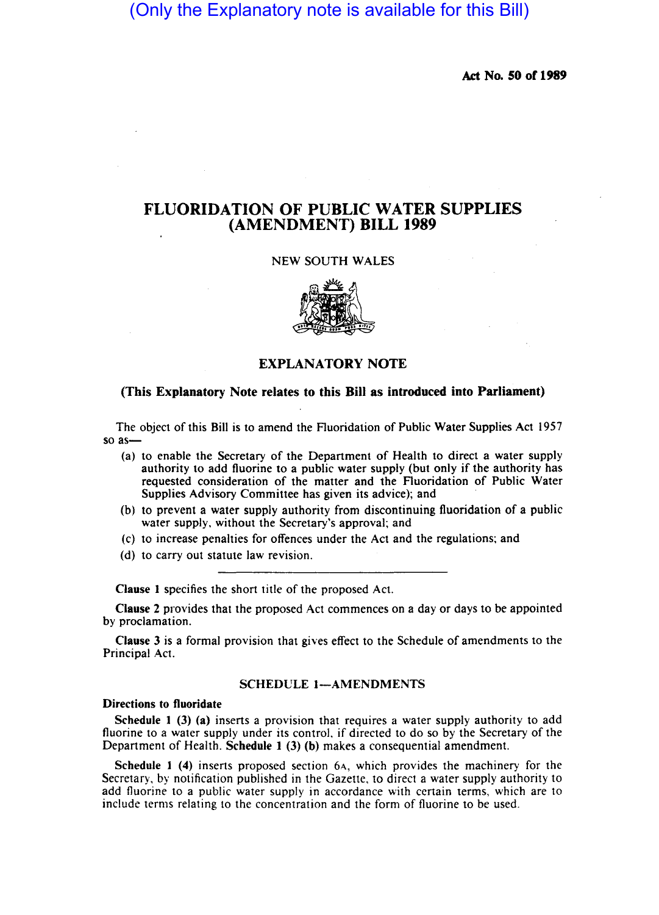# (Only the Explanatory note is available for this Bill)

Act No. 50 of 1989

# FLUORIDATION OF PUBLIC WATER SUPPLIES (AMENDMENT) BILL 1989

# NEW SOUTH WALES



# EXPLANATORY NOTE

# (This Explanatory Note relates to this Bill as introduced into Parliament)

The object of this Bill is to amend the Fluoridation of Public Water Supplies Act 1957 so as-

- (a) to enable the Secretary of the Department of Health to direct a water supply authority to add fluorine to a public water supply (but only if the authority has requested consideration of the matter and the Fluoridation of Public Water Supplies Advisory Committee has given its advice); and
- (b) to prevent a water supply authority from discontinuing fluoridation of a public water supply, without the Secretary's approval; and
- (c) to increase penalties for offences under the Act and the regulations; and
- (d) to carry out statute law revision.

Clause I specifies the short title of the proposed Act.

Clause 2 provides that the proposed Act commences on a day or days to be appointed by proclamation.

Clause 3 is a formal provision that gives effect to the Schedule of amendments to the Principal Act.

#### SCHEDULE 1-AMENDMENTS

# Directions to fluoridate

Schedule I (3) (a) inserts a provision that requires a water supply authority to add fluorine to a water supply under its control, if directed to do so by the Secretary of the Department of Health. Schedule I (3) (b) makes a consequential amendment.

Schedule I (4) inserts proposed section 6A, which provides the machinery for the Secretary, by notification published in the Gazette, to direct a water supply authority to add fluorine to a public water supply in accordance with certain terms, which are to include terms relating to the concentration and the form of fluorine to be used.